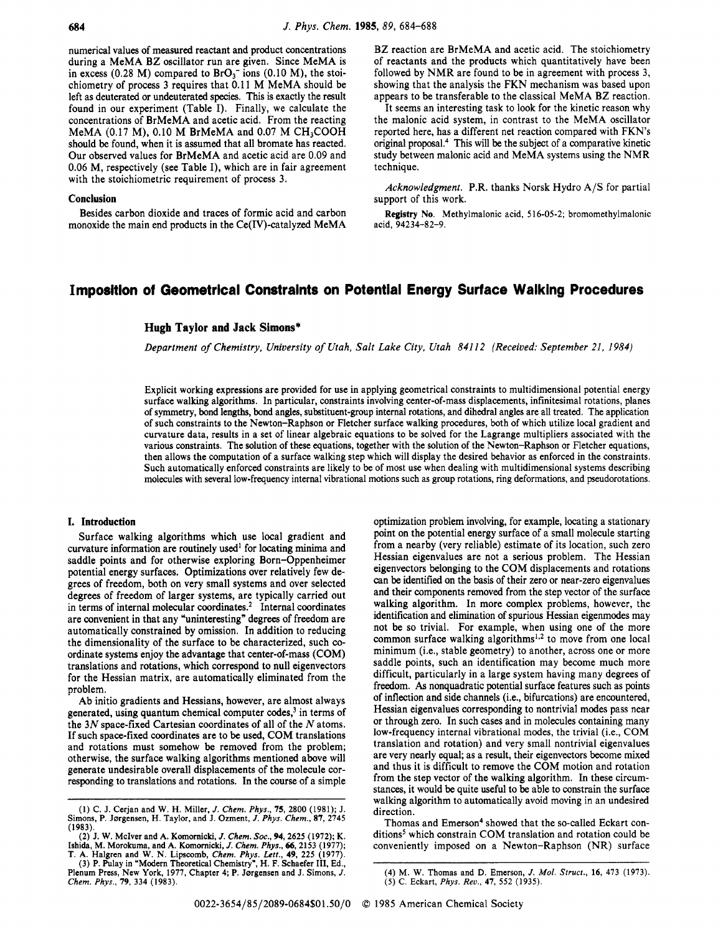numerical values of measured reactant and product concentrations during a MeMA BZ oscillator run are given. Since MeMA is in excess (0.28 M) compared to  $BrO<sub>3</sub><sup>-</sup>$  ions (0.10 M), the stoichiometry of process *3* requires that 0.1 1 M MeMA should be left as deuterated or undeuterated **species.** This is exactly the result found in our experiment (Table **I).** Finally, we calculate the concentrations of BrMeMA and acetic acid. From the reacting MeMA (0.17 M), 0.10 M BrMeMA and 0.07 M CH,COOH should be found, when it is assumed that all bromate has reacted. Our observed values for BrMeMA and acetic acid are 0.09 and **0.06** M, respectively (see Table I), which are in fair agreement with the stoichiometric requirement of process 3.

#### **Conclusion**

Besides carbon dioxide and traces of formic acid and carbon monoxide the main end products in the Ce(1V)-catalyzed MeMA

BZ reaction are BrMeMA and acetic acid. The stoichiometry of reactants and the products which quantitatively have been followed by NMR are found to be in agreement with process 3, showing that the analysis the FKN mechanism was based upon appears to be transferable to the classical MeMA BZ reaction.

It seems an interesting task to look for the kinetic reason why the malonic acid system, in contrast to the MeMA oscillator reported here, has a different net reaction compared with FKN's original proposal.<sup>4</sup> This will be the subject of a comparative kinetic study between malonic acid and MeMA systems using the NMR technique.

*Acknowledgment.* P.R. thanks Norsk Hydro A/S for partial support of this work.

**Registry No.** Methylmalonic acid, **5 16-05-2;** bromomethylmalonic acid, **94234-82-9.** 

## **Impositton of Geometrical Constraints on Potential Energy Surface Walking Procedures**

## **Hugh Taylor and Jack Simons\***

*Department of Chemistry, University of Utah, Salt Lake City, Utah 841 12 (Received: September 21, 1984)* 

Explicit working expressions are provided for use in applying geometrical constraints to multidimensional potential energy surface walking algorithms. **In** particular, constraints involving center-of-mass displacements, infinitesimal rotations, planes of symmetry, bond lengths, bond angles, substituent-group internal rotations, and dihedral angles are all treated. The application of such constraints to the Newton-Raphson or Fletcher surface walking procedures, both of which utilize local gradient and curvature data, results in a set of linear algebraic equations to be solved for the Lagrange multipliers associated with the various constraints. The solution of these equations, together with the solution of the Newton-Raphson or Fletcher equations, then allows the computation of a surface walking step which will display the desired behavior as enforced in the constraints. Such automatically enforced constraints are likely to be of most use when dealing with multidimensional systems describing molecules with several low-frequency internal vibrational motions such as group rotations, ring deformations, and pseudorotations.

### **I. Introduction**

Surface walking algorithms which use local gradient and curvature information are routinely used' for locating minima and saddle points and for otherwise exploring Born-Oppenheimer potential energy surfaces. Optimizations over relatively few degrees of freedom, both **on** very small systems and over selected degrees of freedom of larger systems, are typically carried out in terms of internal molecular coordinates.<sup>2</sup> Internal coordinates are convenient in that any "uninteresting" degrees of freedom are automatically constrained by omission. In addition to reducing the dimensionality of the surface to be characterized, such coordinate systems enjoy the advantage that center-of-mass (COM) translations and rotations, which correspond to null eigenvectors for the Hessian matrix, are automatically eliminated from the problem.

Ab initio gradients and Hessians, however, are almost always generated, using quantum chemical computer codes,<sup>3</sup> in terms of the *3N* space-fixed Cartesian coordinates of all of the *N* atoms. If such space-fixed coordinates are to be used, COM translations and rotations must somehow be removed from the problem; otherwise, the surface walking algorithms mentioned above will generate undesirable overall displacements of the molecule corresponding to translations and rotations. **In** the course of a simple optimization problem involving, for example, locating a stationary point **on** the potential energy surface of a small molecule starting from a nearby (very reliable) estimate of its location, such zero Hessian eigenvalues are not a serious problem. The Hessian eigenvectors belonging to the COM displacements and rotations **can** be identified **on** the **basis** of their zero or near-zero eigenvalues and their components removed from the step vector of the surface walking algorithm. In more complex problems, however, the identification and elimination of spurious Hessian eigenmodes may not be so trivial. For example, when using one of the more common surface walking algorithms<sup>1,2</sup> to move from one local minimum (i.e., stable geometry) to another, across one or more saddle points, such an identification may become much more difficult, particularly in a large system having many degrees of freedom. *As* nonquadratic potential surface features such as points of inflection and side channels (i.e., bifurcations) are encountered, Hessian eigenvalues corresponding to nontrivial modes pass near or through zero. **In** such cases and in molecules containing many low-frequency internal vibrational modes, the trivial (i.e., COM translation and rotation) and very small nontrivial eigenvalues are very nearly equal; as a result, their eigenvectors become mixed and thus it is difficult to remove the COM motion and rotation from the step vector of the walking algorithm. **In** these circumstances, it would be quite useful to be able to constrain the surface walking algorithm to automatically avoid moving in an undesired direction.

Thomas and Emerson<sup>4</sup> showed that the so-called Eckart conditions<sup>5</sup> which constrain COM translation and rotation could be conveniently imposed on a Newton-Raphson (NR) surface

**<sup>(1)</sup>** C. **J.** Cerjan and **W. H.** Miller, *J. Chem. Phys.,* **75, 2800 (1981);** J. Simons, P. **Jorgensen,** H. Taylor, and **J.** Ozment, *J. Phys. Chem.,* **87, 2745 (1983).** 

**<sup>(2)</sup> J. W.** McIver and **A.** Komomicki, *J. Chem. Soc.,* **94,2625 (1972);** K. Ishida, M. Morokuma, and **A.** Komomicki, *J. Chem. Phys.,* **66,2153 (1977);** 

T. **A.** Halgren and **W. N.** Lipscomb, *Chem. Phys. Lett.,* **49, 225 (1977). (3)** P. hlav in 'Modern Theoretical Chemistrv". H. F. Schaefer **111.** Ed.. Plenum Press, New York, 1977, Chapter 4; P. Jørgensen and J. Simons, *J. Chem. Phys.,* **79, 334 (1983).** 

**<sup>(4)</sup>** M. **W.** Thomas and D. Emerson, *J. Mol. Sfrucf.,* **16, 473 (1973). (5)** C. Eckart, *Phys. Rev.,* **47, 552 (1935).**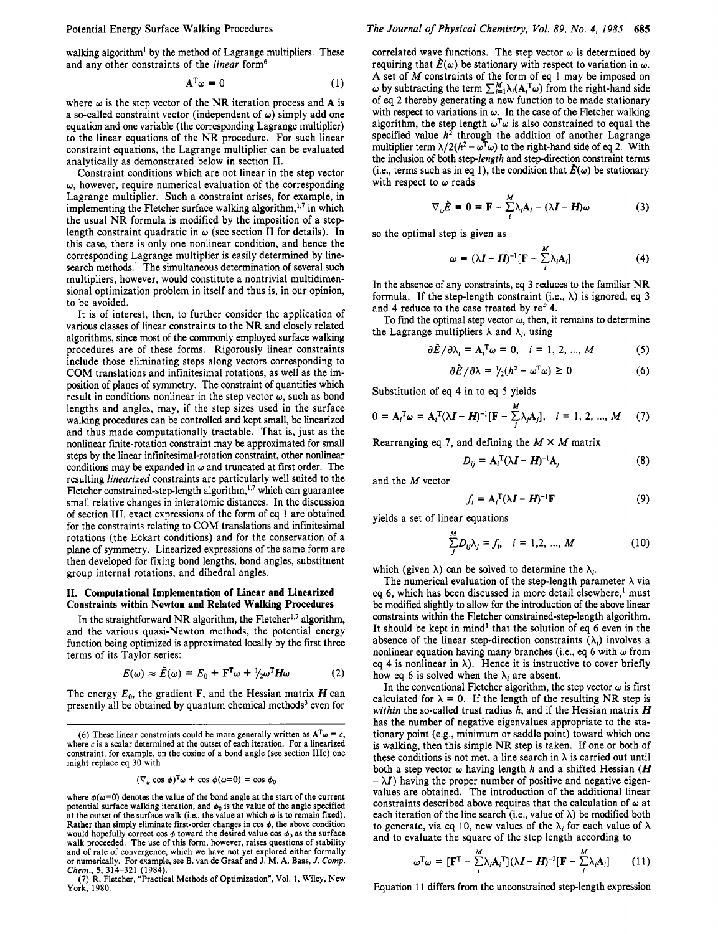walking algorithm<sup>1</sup> by the method of Lagrange multipliers. These and any other constraints of the *linear* form6

$$
\mathbf{A}^{\mathrm{T}}\boldsymbol{\omega} = 0 \tag{1}
$$

where  $\omega$  is the step vector of the NR iteration process and A is a so-called constraint vector (independent of  $\omega$ ) simply add one equation and one variable (the corresponding Lagrange multiplier) to the linear equations of the NR procedure. For such linear constraint equations, the Lagrange multiplier can be evaluated analytically as demonstrated below in section 11.

Constraint conditions which are not linear in the step vector *w,* however, require numerical evaluation of the corresponding Lagrange multiplier. Such a constraint arises, for example, in implementing the Fletcher surface walking algorithm, $^{1,7}$  in which the usual NR formula is modified by the imposition of a steplength constraint quadratic in  $\omega$  (see section II for details). In this case, there is only one nonlinear condition, and hence the corresponding Lagrange multiplier is easily determined by linesearch methods.<sup>1</sup> The simultaneous determination of several such multipliers, however, would constitute a nontrivial multidimensional optimization problem in itself and thus is, in our opinion, to be avoided.

It is of interest, then, to further consider the application of various classes of linear constraints to the NR and closely related algorithms, since most of the commonly employed surface walking procedures are of these forms. Rigorously linear constraints include those eliminating steps along vectors corresponding to COM translations and infinitesimal rotations, as well as the imposition of planes of symmetry. The constraint of quantities which result in conditions nonlinear in the step vector  $\omega$ , such as bond lengths and angles, may, if the step sizes used in the surface walking procedures can be controlled and kept small, be linearized and thus made computationally tractable. That is, just as the nonlinear finite-rotation constraint may be approximated for small steps by the linear infinitesimal-rotation constraint, other nonlinear conditions may be expanded in *w* and truncated at first order. The resulting *linearized* constraints are particularly well suited to the Fletcher constrained-step-length algorithm,<sup>1,7</sup> which can guarantee small relative changes in interatomic distances. In the discussion of section 111, exact expressions of the form of *eq* 1 are obtained for the constraints relating to COM translations and infinitesimal rotations (the Eckart conditions) and for the conservation of a plane of symmetry. Linearized expressions of the same form are then developed for fixing bond lengths, bond angles, substituent group internal rotations, and dihedral angles.

### **11. Computational Implementation of Linear and Linearized Constraints within Newton and Related Walking Procedures**

In the straightforward NR algorithm, the Fletcher<sup>1,7</sup> algorithm, and the various quasi-Newton methods, the potential energy function being optimized is approximated locally by the first three terms of its Taylor series:

$$
E(\omega) \approx \tilde{E}(\omega) = E_0 + \mathbf{F}^{\mathrm{T}} \omega + \frac{1}{2} \omega^{\mathrm{T}} H \omega \qquad (2)
$$

The energy  $E_0$ , the gradient **F**, and the Hessian matrix *H* can presently all be obtained by quantum chemical methods<sup>3</sup> even for

$$
(\nabla_{\omega} \cos \phi)^{T} \omega + \cos \phi (\omega = 0) = \cos \phi_{0}
$$

#### *The Journal of Physical Chemistry, Vol. 89, No. 4, 1985* **685**

correlated wave functions. The step vector  $\omega$  is determined by requiring that  $\tilde{E}(\omega)$  be stationary with respect to variation in  $\omega$ . **A** set of *M* constraints of the form of eq *1* may be imposed on  $\omega$  by subtracting the term  $\sum_{i=1}^{M} \lambda_i (\mathbf{A}_i^T \omega)$  from the right-hand side of *eq 2* thereby generating a new function to be made stationary with respect to variations in  $\omega$ . In the case of the Fletcher walking algorithm, the step length  $\omega^T \omega$  is also constrained to equal the specified value  $h^2$  through the addition of another Lagrange multiplier term  $\lambda/2(h^2 - \omega^T \omega)$  to the right-hand side of eq 2. With the inclusion of both step-length and step-direction constraint terms (i.e., terms such as in eq 1), the condition that  $\tilde{E}(\omega)$  be stationary with respect to *w* reads

$$
\nabla_{\omega}\tilde{E} = 0 = \mathbf{F} - \sum_{i}^{M} \lambda_{i} \mathbf{A}_{i} - (\lambda \mathbf{I} - \mathbf{H})\omega
$$
 (3)

so the optimal step is given as

$$
\omega = (\lambda I - H)^{-1} [\mathbf{F} - \sum_{i}^{M} \lambda_i \mathbf{A}_i]
$$
 (4)

In the absence of any constraints, eq **3** reduces to the familiar NR formula. If the step-length constraint (i.e.,  $\lambda$ ) is ignored, eq 3 and **4** reduce to the case treated by ref **4.** 

To find the optimal step vector  $\omega$ , then, it remains to determine the Lagrange multipliers  $\lambda$  and  $\lambda_i$ , using

$$
\partial \tilde{E} / \partial \lambda_i = \mathbf{A}_i^{\mathrm{T}} \omega = 0, \quad i = 1, 2, ..., M \tag{5}
$$

$$
\partial \tilde{E} / \partial \lambda = \frac{1}{2} (h^2 - \omega^{\mathrm{T}} \omega) \ge 0 \tag{6}
$$

Substitution of *eq* **4** in to *eq 5* yields

$$
0 = A_i^T \omega = A_i^T (\lambda I - H)^{-1} [F - \sum_{j}^{M} \lambda_j A_j], \quad i = 1, 2, ..., M \quad (7)
$$

Rearranging eq 7, and defining the  $M \times M$  matrix

$$
D_{ij} = \mathbf{A}_i^{\mathrm{T}} (\lambda \mathbf{I} - \mathbf{H})^{-1} \mathbf{A}_j \tag{8}
$$

and the *M* vector

$$
f_i = \mathbf{A}_i \mathbf{I} (\lambda \mathbf{I} - \mathbf{H})^{-1} \mathbf{F}
$$
 (9)

yields a set of linear equations

$$
\sum_{j}^{M} D_{ij} \lambda_j = f_i, \quad i = 1, 2, ..., M
$$
 (10)

which (given  $\lambda$ ) can be solved to determine the  $\lambda_i$ .

The numerical evaluation of the step-length parameter  $\lambda$  via eq *6,* which has been discussed in more detail elsewhere,' must be modified slightly to allow for the introduction of the above linear constraints within the Fletcher constrained-step-length algorithm. It should be kept in mind' that the solution of *eq 6* even in the absence of the linear step-direction constraints  $(\lambda_i)$  involves a nonlinear equation having many branches (i.e., eq 6 with  $\omega$  from eq 4 is nonlinear in  $\lambda$ ). Hence it is instructive to cover briefly how eq 6 is solved when the  $\lambda_i$  are absent.

In the conventional Fletcher algorithm, the step vector  $\omega$  is first calculated for  $\lambda = 0$ . If the length of the resulting NR step is *within* the so-called trust radius *h,* and if the Hessian matrix *H*  has the number of negative eigenvalues appropriate to the stationary point (e.g., minimum or saddle point) toward which one is walking, then this simple NR step is taken. If one or both of these conditions is not met, a line search in  $\lambda$  is carried out until both a step vector *w* having length *h* and a shifted Hessian *(H*   $-\lambda I$ ) having the proper number of positive and negative eigenvalues are obtained. The introduction of the additional linear constraints described above requires that the calculation of *w* at each iteration of the line search (i.e., value of  $\lambda$ ) be modified both to generate, via eq 10, new values of the  $\lambda_i$  for each value of  $\lambda$ and to evaluate the square of the step length according to

$$
\omega^{\mathrm{T}}\omega = [\mathbf{F}^{\mathrm{T}} - \sum_{i}^{M} \lambda_i \mathbf{A}_i^{\mathrm{T}}] (\lambda \mathbf{I} - \mathbf{H})^{-2} [\mathbf{F} - \sum_{i}^{M} \lambda_i \mathbf{A}_i]
$$
(11)

Equation *1 1* differs from the unconstrained steplength expression

<sup>(6)</sup> These linear constraints could be more generally written as  $A^T \omega = c$ , where  $c$  is a scalar determined at the outset of each iteration. For a linearized constraint, for example, **on** the cosine of a bond angle (see section IIIc) one might replace eq 30 with

where  $\phi(\omega=0)$  denotes the value of the bond angle at the start of the current potential surface walking iteration, and  $\phi_0$  is the value of the angle specified at the outset of the surface walk (i.e., the value at which  $\phi$  is to remain fixed). Rather than simply eliminate first-order changes in  $\cos \phi$ , the above condition would hopefully correct cos  $\phi$  toward the desired value cos  $\phi_0$  as the surface walk proceeded. The use of this form, however, raises questions of stability and of rate of convergence, which we have not yet explored either formally and of rate of convergence, which we have not yet explored either formally or numerically. For example, **see** B. van de Graaf and J. M. A. Baas, *J. Comp. Chem.,* **5, 314-321 (1984).** 

**<sup>(7)</sup>** R. Fletcher, "Practical Methods of Optimization", Vol. **1,** Wiley, New York, **1980.**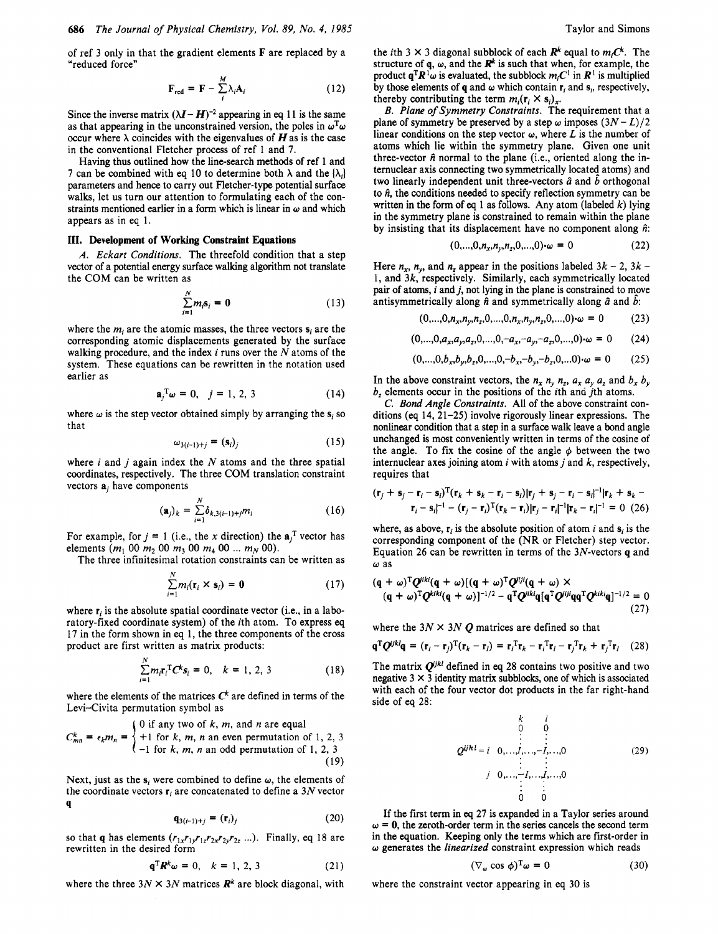of ref 3 only in that the gradient elements **F** are replaced by a "reduced force"

$$
\mathbf{F}_{\text{red}} = \mathbf{F} - \sum_{i}^{M} \lambda_i \mathbf{A}_i \tag{12}
$$

Since the inverse matrix  $(\lambda I - H)^{-2}$  appearing in eq 11 is the same as that appearing in the unconstrained version, the poles in  $\omega^T \omega$ occur where  $\lambda$  coincides with the eigenvalues of H as is the case in the conventional Fletcher process of ref 1 and 7.

Having thus outlined how the line-search methods of ref 1 and 7 can be combined with eq 10 to determine both  $\lambda$  and the  $\{\lambda_i\}$ parameters and hence to carry out Fletcher-type potential surface walks, let us turn our attention to formulating each of the constraints mentioned earlier in a form which is linear in *w* and which appears as in eq 1.

## **111. Development of Working Constraint Equations**

*A. Eckart Conditions.* The threefold condition that a step vector of a potential energy surface walking algorithm not translate the COM can be written as

$$
\sum_{i=1}^{N} m_i \mathbf{s}_i = \mathbf{0} \tag{13}
$$

where the  $m_i$  are the atomic masses, the three vectors  $s_i$  are the corresponding atomic displacements generated by the surface walking procedure, and the index *i* runs over the N atoms of the system. These equations can be rewritten in the notation used earlier as

$$
\mathbf{a}_j^{\mathrm{T}}\omega = 0, \quad j = 1, 2, 3 \tag{14}
$$

where  $\omega$  is the step vector obtained simply by arranging the  $s_i$  so that

$$
\omega_{3(i-1)+j} = (\mathbf{s}_i)_j \tag{15}
$$

where  $i$  and  $j$  again index the  $N$  atoms and the three spatial coordinates, respectively. The three COM translation constraint vectors  $a_i$  have components

$$
(\mathbf{a}_{j})_{k} = \sum_{i=1}^{N} \delta_{k,3(i-1)+j} m_{i}
$$
 (16)

For example, for  $j = 1$  (i.e., the x direction) the  $a_j^T$  vector has elements  $(m_1 00 m_2 00 m_3 00 m_4 00 ... m_N 00)$ .

The three infinitesimal rotation constraints can be written as

$$
\sum_{i=1}^{N} m_i(\mathbf{r}_i \times \mathbf{s}_i) = \mathbf{0}
$$
 (17)

where  $\mathbf{r}_i$  is the absolute spatial coordinate vector (i.e., in a laboratory-fixed coordinate system) of the ith atom. To express eq 17 in the form shown in eq 1, the three components of the cross product are first written as matrix products:

$$
\sum_{i=1}^{N} m_i \mathbf{r}_i^{\mathrm{T}} \mathbf{C}^k \mathbf{s}_i = 0, \quad k = 1, 2, 3 \tag{18}
$$

where the elements of the matrices  $C^k$  are defined in terms of the Levi-Civita permutation symbol as

$$
C_{mn}^k = \epsilon_k m_n = \begin{cases} 0 \text{ if any two of } k, m, \text{ and } n \text{ are equal} \\ +1 \text{ for } k, m, n \text{ an even permutation of } 1, 2, 3 \\ -1 \text{ for } k, m, n \text{ an odd permutation of } 1, 2, 3 \end{cases}
$$
(19)

Next, just as the  $s_i$  were combined to define  $\omega$ , the elements of the coordinate vectors  $\mathbf{r}_i$  are concatenated to define a 3N vector **q** 

$$
\mathbf{q}_{3(i-1)+j} = (\mathbf{r}_i)_j \tag{20}
$$

so that **q** has elements  $(r_{1x}r_{1y}r_{1z}r_{2x}r_{2y}r_{2z} ...)$ . Finally, eq 18 are rewritten in the desired form

$$
\mathbf{q}^{\mathrm{T}} \mathbf{R}^k \omega = 0, \quad k = 1, \, 2, \, 3 \tag{21}
$$

where the three  $3N \times 3N$  matrices  $\mathbb{R}^k$  are block diagonal, with

the *i*th 3  $\times$  3 diagonal subblock of each  $R^k$  equal to  $m_i C^k$ . The structure of  $q$ ,  $\omega$ , and the  $\mathbb{R}^k$  is such that when, for example, the product  $q^{T}R^{1}\omega$  is evaluated, the subblock  $m_{i}C^{1}$  in  $R^{1}$  is multiplied by those elements of **q** and  $\omega$  which contain  $\mathbf{r}_i$  and  $\mathbf{s}_i$ , respectively, thereby contributing the term  $m_i(\mathbf{r}_i \times \mathbf{s}_i)_x$ .

*B. Plane of Symmetry Constraints.* The requirement that a plane of symmetry be preserved by a step  $\omega$  imposes  $(3N - L)/2$ linear conditions on the step vector  $\omega$ , where *L* is the number of atoms which lie within the symmetry plane. Given one unit three-vector  $\hat{n}$  normal to the plane (i.e., oriented along the internuclear axis connecting two symmetrically located atoms) and two linearly independent unit three-vectors  $\hat{a}$  and  $\hat{b}$  orthogonal to  $\hat{n}$ , the conditions needed to specify reflection symmetry can be written in the form of eq 1 as follows. Any atom (labeled  $k$ ) lying in the symmetry plane is constrained to remain within the plane by insisting that its displacement have **no** component along *ii:* 

$$
(0,...,0,n_x,n_y,n_z,0,...,0)\cdot \omega = 0 \qquad (22)
$$

Here  $n_x$ ,  $n_y$ , and  $n_z$  appear in the positions labeled  $3k - 2$ ,  $3k - 1$ 1, and  $3k$ , respectively. Similarly, each symmetrically located pair *of* atoms, *i* and j, not lying in the plane is constrained to mpve antisymmetrically along  $\hat{n}$  and symmetrically along  $\hat{a}$  and  $\hat{b}$ :

$$
(0,...,0,n_x,n_y,n_z,0,...,0,n_x,n_y,n_z,0,...,0) \cdot \omega = 0 \qquad (23)
$$

$$
(0,...,0,a_x,a_y,a_z,0,...,0,-a_x,-a_y,-a_z,0,...,0) \cdot \omega = 0 \qquad (24)
$$

$$
(0,...,0,b_x,b_y,b_z,0,...,0,-b_x,-b_y,-b_z,0,...0) \cdot \omega = 0 \qquad (25)
$$

In the above constraint vectors, the  $n_x n_y n_z$ ,  $a_x a_y a_z$  and  $b_x b_y$  $b<sub>z</sub>$  elements occur in the positions of the *i*th and *j*th atoms.

*C. Bond Angle Constraints.* All of the above constraint conditions (eq 14, 21-25) involve rigorously linear expressions. The nonlinear condition that a step in a surface walk leave a bond angle unchanged is most conveniently written in terms of the cosine of the angle. To fix the cosine of the angle  $\phi$  between the two internuclear axes joining atom *i* with atoms *j* and k, respectively, requires that

$$
(\mathbf{r}_j + \mathbf{s}_j - \mathbf{r}_i - \mathbf{s}_i)^{\mathrm{T}} (\mathbf{r}_k + \mathbf{s}_k - \mathbf{r}_i - \mathbf{s}_i) |\mathbf{r}_j + \mathbf{s}_j - \mathbf{r}_i - \mathbf{s}_i|^{-1} |\mathbf{r}_k + \mathbf{s}_k - \mathbf{r}_i - \mathbf{s}_i|^{-1} - (\mathbf{r}_j - \mathbf{r}_i)^{\mathrm{T}} (\mathbf{r}_k - \mathbf{r}_i) |\mathbf{r}_j - \mathbf{r}_i|^{-1} |\mathbf{r}_k - \mathbf{r}_i|^{-1} = 0
$$
 (26)

where, as above,  $\mathbf{r}_i$  is the absolute position of atom *i* and  $\mathbf{s}_i$  is the corresponding component of the (NR or Fletcher) step vector. Equation 26 can be rewritten in terms of the 3N-vectors **q** and *w* as

$$
\begin{aligned} &(\mathbf{q}+\omega)^{\mathrm{T}}Q^{jkl}(\mathbf{q}+\omega)[(\mathbf{q}+\omega)^{\mathrm{T}}Q^{ljl}(\mathbf{q}+\omega)\times\\ &(\mathbf{q}+\omega)^{\mathrm{T}}Q^{kik}(\mathbf{q}+\omega)]^{-1/2}-\mathbf{q}^{\mathrm{T}}Q^{lik}\mathbf{q}[\mathbf{q}^{\mathrm{T}}Q^{ljl}\mathbf{q}\mathbf{q}^{\mathrm{T}}Q^{kik}\mathbf{q}]^{-1/2}=0\\ &(\text{27})\end{aligned}
$$

where the  $3N \times 3N$  *Q* matrices are defined so that

$$
\mathbf{q}^{\mathrm{T}}Q^{ijkl}\mathbf{q} = (\mathbf{r}_i - \mathbf{r}_j)^{\mathrm{T}}(\mathbf{r}_k - \mathbf{r}_l) = \mathbf{r}_i^{\mathrm{T}}\mathbf{r}_k - \mathbf{r}_i^{\mathrm{T}}\mathbf{r}_l - \mathbf{r}_j^{\mathrm{T}}\mathbf{r}_k + \mathbf{r}_j^{\mathrm{T}}\mathbf{r}_l \quad (28)
$$

The matrix  $Q^{ijkl}$  defined in eq 28 contains two positive and two negative  $3 \times 3$  identity matrix subblocks, one of which is associated with each of the four vector dot products in the far right-hand side of eq 28:

$$
Q^{ijkl} = i \quad 0, \dots, I, \dots, -I, \dots, 0
$$
\n
$$
j \quad 0, \dots, -I, \dots, 0
$$
\n
$$
\vdots \quad \vdots \quad \vdots
$$
\n
$$
\vdots \quad \vdots \quad \vdots
$$
\n
$$
\vdots \quad \vdots \quad \vdots
$$
\n
$$
\vdots \quad \vdots \quad \vdots
$$
\n
$$
\vdots \quad \vdots \quad \vdots
$$
\n
$$
\vdots \quad \vdots \quad \vdots
$$
\n
$$
\vdots \quad \vdots \quad \vdots
$$
\n
$$
\vdots \quad \vdots \quad \vdots
$$
\n
$$
\vdots \quad \vdots \quad \vdots
$$
\n
$$
\vdots \quad \vdots
$$
\n
$$
\vdots \quad \vdots
$$
\n
$$
\vdots \quad \vdots
$$
\n
$$
\vdots \quad \vdots
$$
\n
$$
\vdots \quad \vdots
$$
\n
$$
\vdots \quad \vdots
$$
\n
$$
\vdots \quad \vdots
$$
\n
$$
\vdots \quad \vdots
$$
\n
$$
\vdots \quad \vdots
$$
\n
$$
\vdots \quad \vdots
$$
\n
$$
\vdots \quad \vdots
$$
\n
$$
\vdots \quad \vdots
$$
\n
$$
\vdots \quad \vdots
$$
\n
$$
\vdots \quad \vdots
$$
\n
$$
\vdots \quad \vdots
$$
\n
$$
\vdots \quad \vdots
$$
\n
$$
\vdots \quad \vdots
$$
\n
$$
\vdots \quad \vdots
$$
\n
$$
\vdots \quad \vdots
$$
\n
$$
\vdots \quad \vdots
$$
\n
$$
\vdots \quad \vdots
$$
\n
$$
\vdots \quad \vdots
$$
\n
$$
\vdots \quad \vdots
$$
\n
$$
\vdots \quad \vdots
$$
\n
$$
\vdots \quad \vdots
$$
\n
$$
\vdots \quad \vdots \quad \vdots
$$
\n
$$
\vdots \quad \vdots
$$
\n
$$
\vdots \quad \vdots
$$
\n
$$
\vdots \quad \vdots
$$
\n<math display="block</math>

If the first term in eq 27 is expanded in a Taylor series around  $\omega = 0$ , the zeroth-order term in the series cancels the second term in the equation. Keeping only the terms which are first-order in *w* generates the *linearized* constraint expression which reads

$$
(\nabla_{\omega}\cos\,\phi)^{\mathrm{T}}\omega=0\tag{30}
$$

where the constraint vector appearing in eq 30 is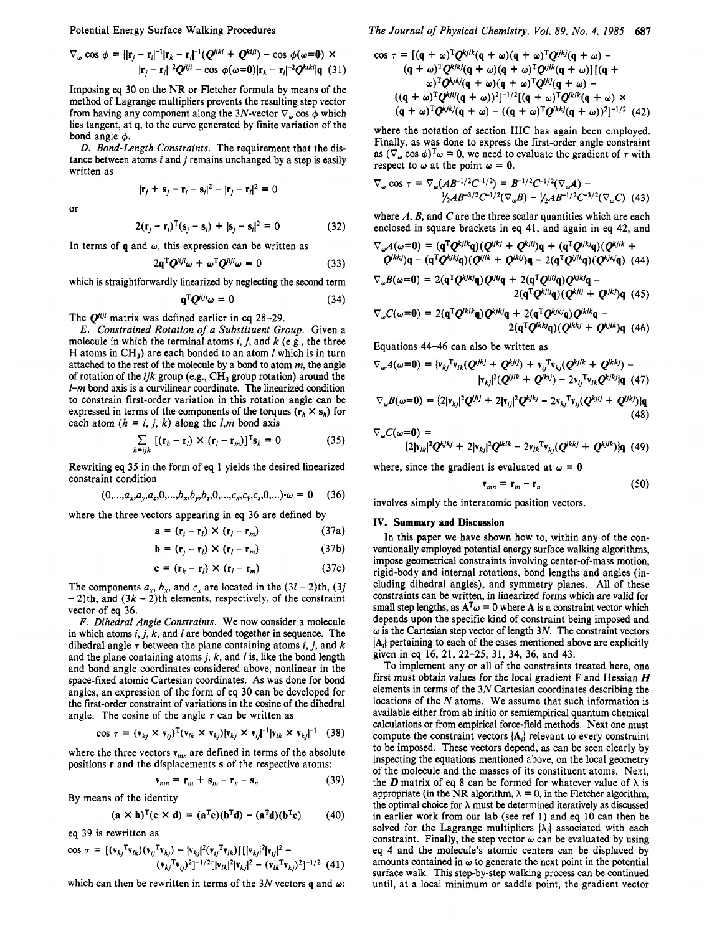Potential Energy Surface Walking Procedures

$$
\nabla_{\omega}\cos\phi = {|\mathbf{r}_j - \mathbf{r}_i|^{-1}|\mathbf{r}_k - \mathbf{r}_i|^{-1}(\mathbf{Q}^{iki} + \mathbf{Q}^{kiji}) - \cos\phi(\omega = 0) \times
$$
  

$$
|\mathbf{r}_j - \mathbf{r}_i|^{-2}\mathbf{Q}^{iji} - \cos\phi(\omega = 0)|\mathbf{r}_k - \mathbf{r}_i|^{-2}\mathbf{Q}^{kiki}|\mathbf{q}
$$
 (31)

Imposing *eq* 30 **on** the NR or Fletcher formula by means of the method of Lagrange multipliers prevents the resulting step vector from having any component along the 3N-vector  $\nabla_{\omega}$  cos  $\phi$  which lies tangent, at **q,** to the curve generated by finite variation of the bond angle  $\phi$ .

*D. Bond-Length Constraints.* The requirement that the distance between atoms  $i$  and  $j$  remains unchanged by a step is easily written as

$$
|\mathbf{r}_j + \mathbf{s}_j - \mathbf{r}_i - \mathbf{s}_i|^2 - |\mathbf{r}_j - \mathbf{r}_i|^2 = 0
$$

or

$$
2(\mathbf{r}_j - \mathbf{r}_i)^{\mathrm{T}}(\mathbf{s}_j - \mathbf{s}_i) + |\mathbf{s}_j - \mathbf{s}_i|^2 = 0
$$
 (32)

In terms of **q** and  $\omega$ , this expression can be written as

$$
2\mathbf{q}^{\mathrm{T}}\mathbf{Q}^{ij}u + \omega^{\mathrm{T}}\mathbf{Q}^{ij}u = 0 \qquad (33)
$$

which is straightforwardly linearized by neglecting the second term

$$
\mathbf{q}^{\mathrm{T}}\mathbf{Q}^{ijj}\omega=0\tag{34}
$$

The **Q""** matrix was defined earlier in eq **28-29.** 

*E. Constrained Rotation of a Substituent Group.* Given a molecule in which the terminal atoms *i, j,* and *k* (e.g., the three H atoms in CH3) are each bonded to an atom *1* which is in turn attached to the rest of the molecule by a bond to atom *m,* the angle of rotation of the ijk group (e.g.,  $CH_3$  group rotation) around the *1-m* bond axis is a curvilinear coordinate. The linearized condition to constrain first-order variation in this rotation angle can be expressed in terms of the components of the torques  $(\mathbf{r}_h \times \mathbf{s}_h)$  for each atom  $(h = i, j, k)$  along the *l,m* bond axis

$$
\sum_{h=ijk} [(\mathbf{r}_h - \mathbf{r}_l) \times (\mathbf{r}_l - \mathbf{r}_m)]^T \mathbf{s}_h = 0
$$
 (35)

Rewriting *eq* 35 in the form of eq 1 yields the desired linearized constraint condition

$$
(0,...,a_x,a_y,a_z,0,...,b_x,b_y,b_z,0,...,c_x,c_y,c_z,0,...)\cdot \omega = 0 \quad (36)
$$

where the three vectors appearing in *eq* 36 are defined by

$$
\mathbf{a} = (\mathbf{r}_i - \mathbf{r}_l) \times (\mathbf{r}_l - \mathbf{r}_m) \tag{37a}
$$

$$
\mathbf{b} = (\mathbf{r}_j - \mathbf{r}_l) \times (\mathbf{r}_l - \mathbf{r}_m)
$$
 (37b)

$$
\mathbf{c} = (\mathbf{r}_k - \mathbf{r}_l) \times (\mathbf{r}_l - \mathbf{r}_m) \tag{37c}
$$

The components  $a_x$ ,  $b_x$ , and  $c_x$  are located in the  $(3i - 2)$ th,  $(3j)$  $-$  2)th, and  $(3k - 2)$ th elements, respectively, of the constraint vector of eq 36.

*F. Dihedral Angle Constraints.* We now consider a molecule in which atoms i, *j,* k, and *1* are bonded together in sequence. The dihedral angle  $\tau$  between the plane containing atoms *i*, *j*, and *k* and the plane containing atoms *j, k,* and *1* is, like the bond length and bond angle coordinates considered above, nonlinear in the space-fixed atomic Cartesian coordinates. As was done for bond angles, an expression of the form of eq 30 can be developed for the first-order constraint of variations in the cosine of the dihedral angle. The cosine of the angle  $\tau$  can be written as

$$
\cos \tau = (\mathbf{v}_{kj} \times \mathbf{v}_{ij})^{\mathrm{T}} (\mathbf{v}_{lk} \times \mathbf{v}_{kj}) |\mathbf{v}_{kj} \times \mathbf{v}_{ij}|^{-1} |\mathbf{v}_{lk} \times \mathbf{v}_{kj}|^{-1}
$$
 (38)

where the three vectors  $v_{mn}$  are defined in terms of the absolute positions **r** and the displacements **s** of the respective atoms:<br> $\mathbf{v}_{mn} = \mathbf{r}_m + \mathbf{s}_m - \mathbf{r}_n - \mathbf{s}_n$  (39)

$$
\mathbf{v}_{mn} = \mathbf{r}_m + \mathbf{s}_m - \mathbf{r}_n - \mathbf{s}_n \tag{39}
$$

By means of the identity

$$
(\mathbf{a} \times \mathbf{b})^{\mathrm{T}}(\mathbf{c} \times \mathbf{d}) = (\mathbf{a}^{\mathrm{T}} \mathbf{c})(\mathbf{b}^{\mathrm{T}} \mathbf{d}) - (\mathbf{a}^{\mathrm{T}} \mathbf{d})(\mathbf{b}^{\mathrm{T}} \mathbf{c}) \tag{40}
$$

eq 39 is rewritten as

$$
\cos \tau = [(\mathbf{v}_{kj}^T \mathbf{v}_{lk})(\mathbf{v}_{ij}^T \mathbf{v}_{kj}) - [\mathbf{v}_{kj}]^2 (\mathbf{v}_{ij}^T \mathbf{v}_{lk})][[\mathbf{v}_{kj}]^2 [\mathbf{v}_{ij}]^2 - (\mathbf{v}_{kj}^T \mathbf{v}_{ij})^2]^{-1/2} [\mathbf{v}_{lk}]^2 [\mathbf{v}_{kj}]^2 - (\mathbf{v}_{lk}^T \mathbf{v}_{kj})^2]^{-1/2}
$$
(41)

which can then be rewritten in terms of the 3N vectors **q** and  $\omega$ :

*The Journal of Physical Chemistry, Vol. 89,* No. *4, 1985* **687** 

$$
\cos \tau = \left[ (q + \omega)^T Q^{kjlk} (q + \omega) (q + \omega)^T Q^{ijkj} (q + \omega) - (q + \omega)^T Q^{kjlk} (q + \omega) (q + \omega)^T Q^{ijkk} (q + \omega) \right] \left[ (q + \omega)^T Q^{kjlk} (q + \omega) (q + \omega)^T Q^{jijlk} (q + \omega) - (q + \omega)^T Q^{kjlj} (q + \omega)^T Q^{kjkl} (q + \omega) \right]
$$
  

$$
= (q + \omega)^T Q^{kjkl} (q + \omega) - ((q + \omega)^T Q^{ikkl} (q + \omega) )^2]^{-1/2} (42)
$$

where the notation of section IIIC has again been employed. Finally, as was done to express the first-order angle constraint as  $(\nabla_{\omega} \cos \phi)^{T} \omega = 0$ , we need to evaluate the gradient of  $\tau$  with respect to  $\omega$  at the point  $\omega = 0$ .

$$
\nabla_{\omega} \cos \tau = \nabla_{\omega} (AB^{-1/2}C^{-1/2}) = B^{-1/2}C^{-1/2}(\nabla_{\omega} A) -
$$
  
 
$$
\frac{1}{2}AB^{-3/2}C^{-1/2}(\nabla_{\omega} B) - \frac{1}{2}AB^{-1/2}C^{-3/2}(\nabla_{\omega} C) \tag{43}
$$

where *A*, *B*, and *C* are the three scalar quantities which are each enclosed in square brackets in eq 41, and again in eq **42,** and

$$
\nabla_{\omega} A(\omega=0) = (\mathbf{q}^{T} Q^{k/ik} \mathbf{q}) (Q^{i/ki} + Q^{k/ij}) \mathbf{q} + (\mathbf{q}^{T} Q^{i/ki} \mathbf{q}) (Q^{k/ik} + Q^{k/ik}) \mathbf{q} - (\mathbf{q}^{T} Q^{k/ik} \mathbf{q}) (Q^{i/ik} + Q^{k/ik}) \mathbf{q} - 2 (\mathbf{q}^{T} Q^{i/ik} \mathbf{q}) (Q^{k/ki} \mathbf{q})
$$
 (44)

$$
\nabla_{\omega}B(\omega=0) = 2(\mathbf{q}^{\mathrm{T}}Q^{kjkj}\mathbf{q})Q^{ijj}q + 2(\mathbf{q}^{\mathrm{T}}Q^{ijj}q)Q^{kjkj}\mathbf{q} - 2(\mathbf{q}^{\mathrm{T}}Q^{kjj}\mathbf{q})(Q^{kjj} + Q^{ijk})\mathbf{q}
$$
 (45)

$$
\nabla_{\omega} C(\omega=0) = 2(\mathbf{q}^{\mathrm{T}} Q^{kik}\mathbf{q}) Q^{kjkj}\mathbf{q} + 2(\mathbf{q}^{\mathrm{T}} Q^{kjkj}\mathbf{q}) Q^{jkl}\mathbf{q} - 2(\mathbf{q}^{\mathrm{T}} Q^{kkj}\mathbf{q}) (Q^{lkl} + Q^{kjlk})\mathbf{q} (46)
$$

Equations 44-46 can also be written as  
\n
$$
\nabla_{\omega}A(\omega=0) = \{v_{kj}\Gamma v_{lk}(Q^{ijkl} + Q^{kij}) + v_{ij}\Gamma v_{kj}(Q^{kjlk} + Q^{lkl}) -
$$
\n
$$
|v_{kj}|^2(Q^{ijkl} + Q^{kij}) - 2v_{ij}\Gamma v_{lk}Q^{kjkj}|q
$$
 (47)

$$
\nabla_{\omega} B(\omega=0) = \{2|\mathbf{v}_{kj}|^2 Q^{jij} + 2|\mathbf{v}_{ij}|^2 Q^{kjkj} - 2\mathbf{v}_{kj}^{\mathsf{T}} \mathbf{v}_{ij} (Q^{kjij} + Q^{ijkj})\}\mathbf{q}
$$
(48)

$$
\nabla_{\omega} C(\omega = 0) =
$$
  
{2|\mathbf{v}\_{ik}|^2 Q^{kjkj} + 2|\mathbf{v}\_{kj}|^2 Q^{klk} - 2\mathbf{v}\_{ik}^{\mathrm{T}} \mathbf{v}\_{kj} (Q^{lkkj} + Q^{kjlk})\mathbf{q} (49)

where, since the gradient is evaluated at  $\omega = 0$ 

$$
\mathbf{v}_{mn} = \mathbf{r}_m - \mathbf{r}_n \tag{50}
$$

involves simply the interatomic position vectors.

### **IV. Summary and Discussion**

In this paper we have shown how to, within any of the conventionally employed potential energy surface walking algorithms, impose geometrical constraints involving center-of-mass motion, rigid-body and internal rotations, bond lengths and angles (including dihedral angles), and symmetry planes. All of these constraints can be written, in linearized forms which are valid for small step lengths, as  $A^T \omega = 0$  where A is a constraint vector which depends **upon** the specific kind of constraint being imposed and  $\omega$  is the Cartesian step vector of length 3*N*. The constraint vectors *(Ai)* pertaining to each of the cases mentioned above are explicitly given in *eq* 16, **21, 22-25,** 31, 34, 36, and 43.

To implement any or all of the constraints treated here, one first must obtain values for the local gradient **F** and Hessian *H*  elements in terms of the 3N Cartesian coordinates describing the locations of the  $N$  atoms. We assume that such information is available either from ab initio or semiempirical quantum chemical calculations or from empirical force-field methods. Next one must compute the constraint vectors **(Ai)** relevant to every constraint to be imposed. These vectors depend, as can be seen clearly by inspecting the equations mentioned above, **on** the local geometry of the molecule and the masses of its constituent atoms. Next, the *D* matrix of eq 8 can be formed for whatever value of  $\lambda$  is appropriate (in the  $\overline{NR}$  algorithm,  $\lambda = 0$ , in the Fletcher algorithm, the optimal choice for  $\lambda$  must be determined iteratively as discussed in earlier work from our lab (see ref 1) and eq 10 can then be solved for the Lagrange multipliers  $\{\lambda_i\}$  associated with each constraint. Finally, the step vector  $\omega$  can be evaluated by using eq 4 and the molecule's atomic centers can be displaced by amounts contained in  $\omega$  to generate the next point in the potential surface walk. This step-by-step walking process can be continued until, at a local minimum or saddle point, the gradient vector